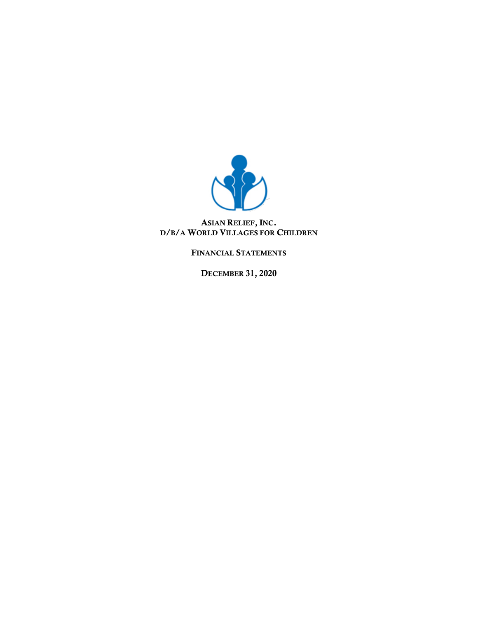

# FINANCIAL STATEMENTS

DECEMBER 31, 2020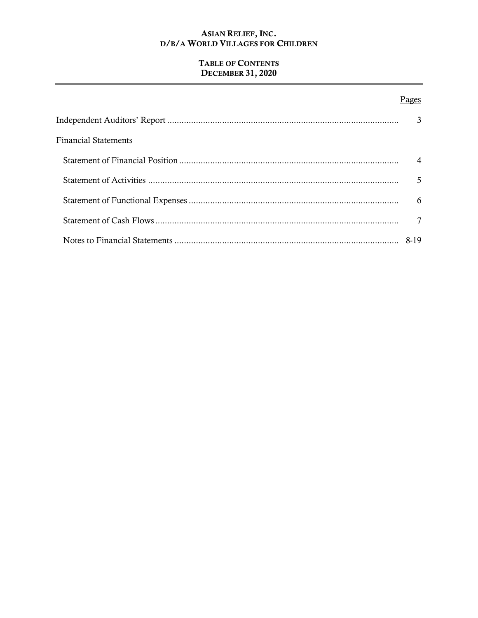# TABLE OF CONTENTS DECEMBER 31, 2020

 $\overline{a}$ 

# Pages

| <b>Financial Statements</b> |  |
|-----------------------------|--|
|                             |  |
|                             |  |
|                             |  |
|                             |  |
|                             |  |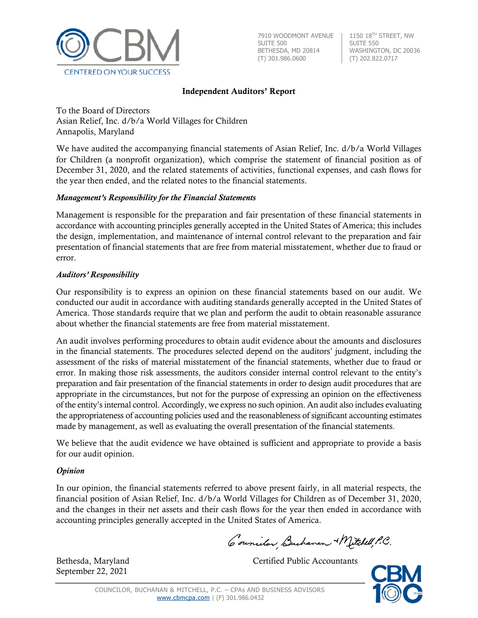

7910 WOODMONT AVENUE | 1150 18TH STREET, NW SUITE 500 BETHESDA, MD 20814 (T) 301.986.0600

SUITE 550 WASHINGTON, DC 20036 (T) 202.822.0717

# Independent Auditors' Report

<span id="page-2-0"></span>To the Board of Directors Asian Relief, Inc. d/b/a World Villages for Children Annapolis, Maryland

We have audited the accompanying financial statements of Asian Relief, Inc.  $d/b/a$  World Villages for Children (a nonprofit organization), which comprise the statement of financial position as of December 31, 2020, and the related statements of activities, functional expenses, and cash flows for the year then ended, and the related notes to the financial statements.

# *Management's Responsibility for the Financial Statements*

Management is responsible for the preparation and fair presentation of these financial statements in accordance with accounting principles generally accepted in the United States of America; this includes the design, implementation, and maintenance of internal control relevant to the preparation and fair presentation of financial statements that are free from material misstatement, whether due to fraud or error.

# *Auditors' Responsibility*

Our responsibility is to express an opinion on these financial statements based on our audit. We conducted our audit in accordance with auditing standards generally accepted in the United States of America. Those standards require that we plan and perform the audit to obtain reasonable assurance about whether the financial statements are free from material misstatement.

An audit involves performing procedures to obtain audit evidence about the amounts and disclosures in the financial statements. The procedures selected depend on the auditors' judgment, including the assessment of the risks of material misstatement of the financial statements, whether due to fraud or error. In making those risk assessments, the auditors consider internal control relevant to the entity's preparation and fair presentation of the financial statements in order to design audit procedures that are appropriate in the circumstances, but not for the purpose of expressing an opinion on the effectiveness of the entity's internal control. Accordingly, we express no such opinion. An audit also includes evaluating the appropriateness of accounting policies used and the reasonableness of significant accounting estimates made by management, as well as evaluating the overall presentation of the financial statements.

We believe that the audit evidence we have obtained is sufficient and appropriate to provide a basis for our audit opinion.

## *Opinion*

In our opinion, the financial statements referred to above present fairly, in all material respects, the financial position of Asian Relief, Inc. d/b/a World Villages for Children as of December 31, 2020, and the changes in their net assets and their cash flows for the year then ended in accordance with accounting principles generally accepted in the United States of America.

6 ounidar, Buchanan + Mitchell, P.C.

September 22, 2021

Bethesda, Maryland Certified Public Accountants

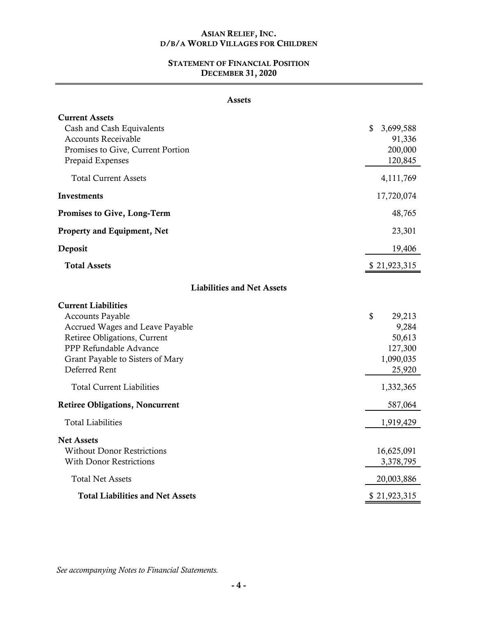# STATEMENT OF FINANCIAL POSITION DECEMBER 31, 2020

#### Assets

<span id="page-3-0"></span>

| <b>Current Assets</b><br>Cash and Cash Equivalents<br>Accounts Receivable<br>Promises to Give, Current Portion                                                                                          | \$<br>3,699,588<br>91,336<br>200,000                              |
|---------------------------------------------------------------------------------------------------------------------------------------------------------------------------------------------------------|-------------------------------------------------------------------|
| Prepaid Expenses                                                                                                                                                                                        | 120,845                                                           |
| <b>Total Current Assets</b>                                                                                                                                                                             | 4,111,769                                                         |
| Investments                                                                                                                                                                                             | 17,720,074                                                        |
| Promises to Give, Long-Term                                                                                                                                                                             | 48,765                                                            |
| Property and Equipment, Net                                                                                                                                                                             | 23,301                                                            |
| Deposit                                                                                                                                                                                                 | 19,406                                                            |
| <b>Total Assets</b>                                                                                                                                                                                     | \$21,923,315                                                      |
| <b>Liabilities and Net Assets</b>                                                                                                                                                                       |                                                                   |
| <b>Current Liabilities</b><br><b>Accounts Payable</b><br>Accrued Wages and Leave Payable<br>Retiree Obligations, Current<br>PPP Refundable Advance<br>Grant Payable to Sisters of Mary<br>Deferred Rent | \$<br>29,213<br>9,284<br>50,613<br>127,300<br>1,090,035<br>25,920 |
| <b>Total Current Liabilities</b>                                                                                                                                                                        | 1,332,365                                                         |
| <b>Retiree Obligations, Noncurrent</b>                                                                                                                                                                  | 587,064                                                           |
| <b>Total Liabilities</b>                                                                                                                                                                                | 1,919,429                                                         |
| <b>Net Assets</b><br><b>Without Donor Restrictions</b><br><b>With Donor Restrictions</b>                                                                                                                | 16,625,091<br>3,378,795                                           |
| <b>Total Net Assets</b>                                                                                                                                                                                 | 20,003,886                                                        |
| <b>Total Liabilities and Net Assets</b>                                                                                                                                                                 | \$21,923,315                                                      |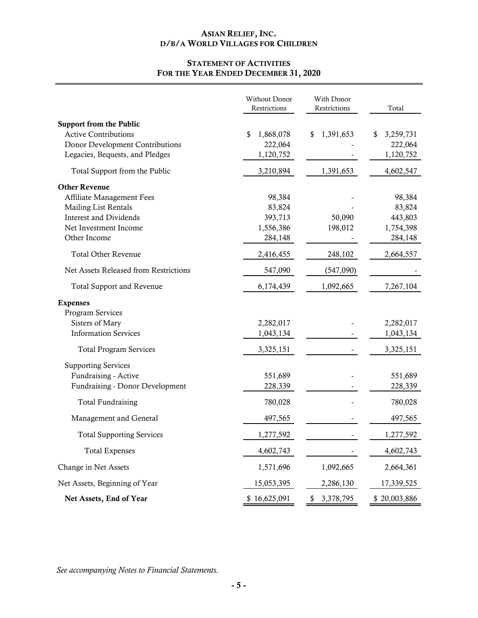# STATEMENT OF ACTIVITIES FOR THE YEAR ENDED DECEMBER 31, 2020

<span id="page-4-0"></span>

|                                                                                                                                                                                                                            | Without Donor<br>Restrictions                                               | With Donor<br>Restrictions                | Total                                                            |
|----------------------------------------------------------------------------------------------------------------------------------------------------------------------------------------------------------------------------|-----------------------------------------------------------------------------|-------------------------------------------|------------------------------------------------------------------|
| Support from the Public<br><b>Active Contributions</b><br><b>Donor Development Contributions</b><br>Legacies, Bequests, and Pledges                                                                                        | 1,868,078<br>\$<br>222,064<br>1,120,752                                     | 1,391,653<br>\$                           | 3,259,731<br>\$<br>222,064<br>1,120,752                          |
| Total Support from the Public                                                                                                                                                                                              | 3,210,894                                                                   | 1,391,653                                 | 4,602,547                                                        |
| <b>Other Revenue</b><br>Affiliate Management Fees<br>Mailing List Rentals<br><b>Interest and Dividends</b><br>Net Investment Income<br>Other Income<br><b>Total Other Revenue</b><br>Net Assets Released from Restrictions | 98,384<br>83,824<br>393,713<br>1,556,386<br>284,148<br>2,416,455<br>547,090 | 50,090<br>198,012<br>248,102<br>(547,090) | 98,384<br>83,824<br>443,803<br>1,754,398<br>284,148<br>2,664,557 |
| <b>Total Support and Revenue</b>                                                                                                                                                                                           | 6,174,439                                                                   | 1,092,665                                 | 7,267,104                                                        |
| <b>Expenses</b><br>Program Services<br>Sisters of Mary<br><b>Information Services</b>                                                                                                                                      | 2,282,017<br>1,043,134                                                      |                                           | 2,282,017<br>1,043,134                                           |
| <b>Total Program Services</b><br><b>Supporting Services</b><br>Fundraising - Active<br>Fundraising - Donor Development                                                                                                     | 3,325,151<br>551,689<br>228,339                                             |                                           | 3,325,151<br>551,689<br>228,339                                  |
| <b>Total Fundraising</b>                                                                                                                                                                                                   | 780,028                                                                     |                                           | 780,028                                                          |
| Management and General                                                                                                                                                                                                     | 497,565                                                                     |                                           | 497,565                                                          |
| <b>Total Supporting Services</b>                                                                                                                                                                                           | 1,277,592                                                                   |                                           | 1,277,592                                                        |
| <b>Total Expenses</b>                                                                                                                                                                                                      | 4,602,743                                                                   |                                           | 4,602,743                                                        |
| Change in Net Assets                                                                                                                                                                                                       | 1,571,696                                                                   | 1,092,665                                 | 2,664,361                                                        |
| Net Assets, Beginning of Year                                                                                                                                                                                              | 15,053,395                                                                  | 2,286,130                                 | 17,339,525                                                       |
| Net Assets, End of Year                                                                                                                                                                                                    | \$16,625,091                                                                | 3,378,795<br>\$                           | \$20,003,886                                                     |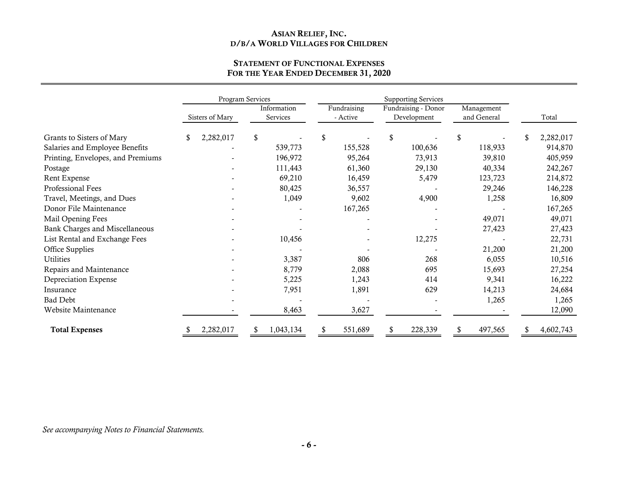# STATEMENT OF FUNCTIONAL EXPENSES FOR THE YEAR ENDED DECEMBER 31, 2020

<span id="page-5-0"></span>

|                                   |                 | Program Services | <b>Supporting Services</b> |                     |             |           |
|-----------------------------------|-----------------|------------------|----------------------------|---------------------|-------------|-----------|
|                                   |                 | Information      | Fundraising                | Fundraising - Donor | Management  |           |
|                                   | Sisters of Mary | Services         | - Active                   | Development         | and General | Total     |
| Grants to Sisters of Mary         | 2,282,017<br>\$ | \$.              | S                          | S                   | \$          | 2,282,017 |
| Salaries and Employee Benefits    |                 | 539,773          | 155,528                    | 100,636             | 118,933     | 914,870   |
| Printing, Envelopes, and Premiums |                 | 196,972          | 95,264                     | 73,913              | 39,810      | 405,959   |
| Postage                           |                 | 111,443          | 61,360                     | 29,130              | 40,334      | 242,267   |
| Rent Expense                      |                 | 69,210           | 16,459                     | 5,479               | 123,723     | 214,872   |
| Professional Fees                 |                 | 80,425           | 36,557                     |                     | 29,246      | 146,228   |
| Travel, Meetings, and Dues        |                 | 1,049            | 9,602                      | 4,900               | 1,258       | 16,809    |
| Donor File Maintenance            |                 |                  | 167,265                    |                     |             | 167,265   |
| Mail Opening Fees                 |                 |                  |                            |                     | 49,071      | 49,071    |
| Bank Charges and Miscellaneous    |                 |                  |                            |                     | 27,423      | 27,423    |
| List Rental and Exchange Fees     |                 | 10,456           |                            | 12,275              |             | 22,731    |
| Office Supplies                   |                 |                  |                            |                     | 21,200      | 21,200    |
| Utilities                         |                 | 3,387            | 806                        | 268                 | 6,055       | 10,516    |
| Repairs and Maintenance           |                 | 8,779            | 2,088                      | 695                 | 15,693      | 27,254    |
| <b>Depreciation Expense</b>       |                 | 5,225            | 1,243                      | 414                 | 9,341       | 16,222    |
| Insurance                         |                 | 7,951            | 1,891                      | 629                 | 14,213      | 24,684    |
| <b>Bad Debt</b>                   |                 |                  |                            |                     | 1,265       | 1,265     |
| Website Maintenance               |                 | 8,463            | 3,627                      |                     |             | 12,090    |
| <b>Total Expenses</b>             | 2,282,017       | 1,043,134        | 551,689                    | 228,339             | 497,565     | 4,602,743 |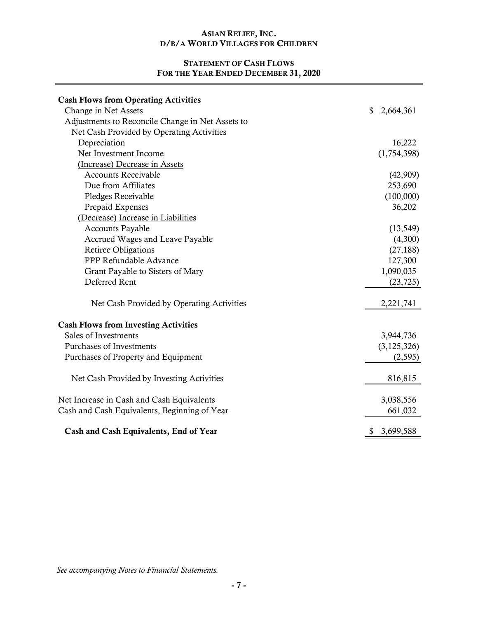# STATEMENT OF CASH FLOWS FOR THE YEAR ENDED DECEMBER 31, 2020

<span id="page-6-0"></span>

| <b>Cash Flows from Operating Activities</b>      |                 |
|--------------------------------------------------|-----------------|
| Change in Net Assets                             | \$<br>2,664,361 |
| Adjustments to Reconcile Change in Net Assets to |                 |
| Net Cash Provided by Operating Activities        |                 |
| Depreciation                                     | 16,222          |
| Net Investment Income                            | (1,754,398)     |
| (Increase) Decrease in Assets                    |                 |
| <b>Accounts Receivable</b>                       | (42,909)        |
| Due from Affiliates                              | 253,690         |
| Pledges Receivable                               | (100,000)       |
| Prepaid Expenses                                 | 36,202          |
| (Decrease) Increase in Liabilities               |                 |
| <b>Accounts Payable</b>                          | (13, 549)       |
| Accrued Wages and Leave Payable                  | (4,300)         |
| <b>Retiree Obligations</b>                       | (27, 188)       |
| PPP Refundable Advance                           | 127,300         |
| Grant Payable to Sisters of Mary                 | 1,090,035       |
| Deferred Rent                                    | (23, 725)       |
| Net Cash Provided by Operating Activities        | 2,221,741       |
| <b>Cash Flows from Investing Activities</b>      |                 |
| Sales of Investments                             | 3,944,736       |
| Purchases of Investments                         | (3, 125, 326)   |
| Purchases of Property and Equipment              | (2, 595)        |
| Net Cash Provided by Investing Activities        | 816,815         |
| Net Increase in Cash and Cash Equivalents        | 3,038,556       |
| Cash and Cash Equivalents, Beginning of Year     | 661,032         |
| Cash and Cash Equivalents, End of Year           | 3,699,588<br>\$ |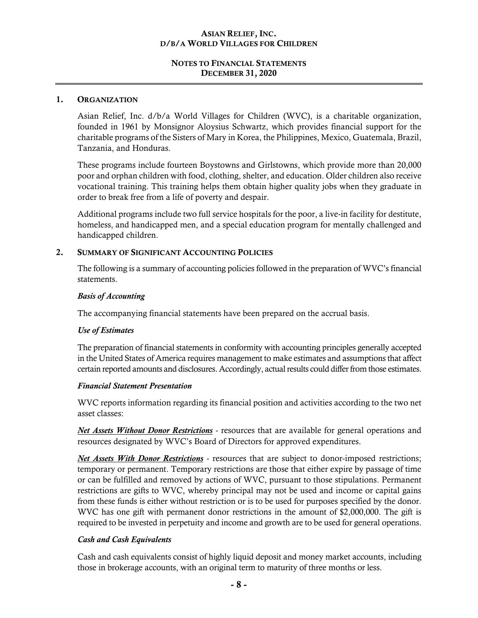# NOTES TO FINANCIAL STATEMENTS DECEMBER 31, 2020

#### <span id="page-7-0"></span>1. ORGANIZATION

Asian Relief, Inc. d/b/a World Villages for Children (WVC), is a charitable organization, founded in 1961 by Monsignor Aloysius Schwartz, which provides financial support for the charitable programs of the Sisters of Mary in Korea, the Philippines, Mexico, Guatemala, Brazil, Tanzania, and Honduras.

These programs include fourteen Boystowns and Girlstowns, which provide more than 20,000 poor and orphan children with food, clothing, shelter, and education. Older children also receive vocational training. This training helps them obtain higher quality jobs when they graduate in order to break free from a life of poverty and despair.

Additional programs include two full service hospitals for the poor, a live-in facility for destitute, homeless, and handicapped men, and a special education program for mentally challenged and handicapped children.

## 2. SUMMARY OF SIGNIFICANT ACCOUNTING POLICIES

The following is a summary of accounting policies followed in the preparation of WVC's financial statements.

## *Basis of Accounting*

The accompanying financial statements have been prepared on the accrual basis.

## *Use of Estimates*

The preparation of financial statements in conformity with accounting principles generally accepted in the United States of America requires management to make estimates and assumptions that affect certain reported amounts and disclosures. Accordingly, actual results could differ from those estimates.

## *Financial Statement Presentation*

WVC reports information regarding its financial position and activities according to the two net asset classes:

*Net Assets Without Donor Restrictions* - resources that are available for general operations and resources designated by WVC's Board of Directors for approved expenditures.

*Net Assets With Donor Restrictions* - resources that are subject to donor-imposed restrictions; temporary or permanent. Temporary restrictions are those that either expire by passage of time or can be fulfilled and removed by actions of WVC, pursuant to those stipulations. Permanent restrictions are gifts to WVC, whereby principal may not be used and income or capital gains from these funds is either without restriction or is to be used for purposes specified by the donor. WVC has one gift with permanent donor restrictions in the amount of \$2,000,000. The gift is required to be invested in perpetuity and income and growth are to be used for general operations.

## *Cash and Cash Equivalents*

Cash and cash equivalents consist of highly liquid deposit and money market accounts, including those in brokerage accounts, with an original term to maturity of three months or less.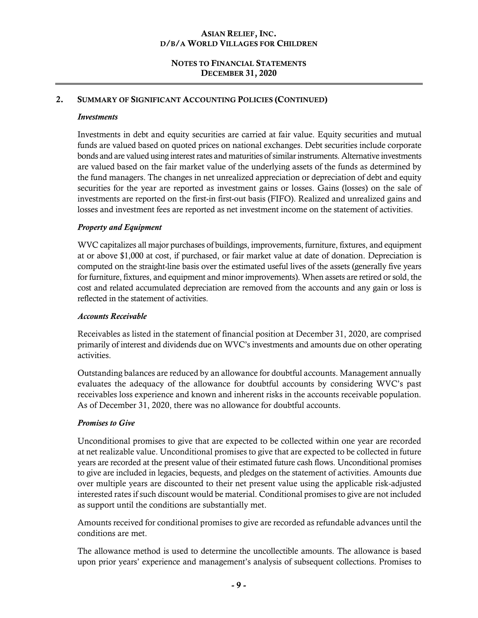# NOTES TO FINANCIAL STATEMENTS DECEMBER 31, 2020

#### 2. SUMMARY OF SIGNIFICANT ACCOUNTING POLICIES (CONTINUED)

#### *Investments*

Investments in debt and equity securities are carried at fair value. Equity securities and mutual funds are valued based on quoted prices on national exchanges. Debt securities include corporate bonds and are valued using interest rates and maturities of similar instruments. Alternative investments are valued based on the fair market value of the underlying assets of the funds as determined by the fund managers. The changes in net unrealized appreciation or depreciation of debt and equity securities for the year are reported as investment gains or losses. Gains (losses) on the sale of investments are reported on the first-in first-out basis (FIFO). Realized and unrealized gains and losses and investment fees are reported as net investment income on the statement of activities.

## *Property and Equipment*

WVC capitalizes all major purchases of buildings, improvements, furniture, fixtures, and equipment at or above \$1,000 at cost, if purchased, or fair market value at date of donation. Depreciation is computed on the straight-line basis over the estimated useful lives of the assets (generally five years for furniture, fixtures, and equipment and minor improvements). When assets are retired or sold, the cost and related accumulated depreciation are removed from the accounts and any gain or loss is reflected in the statement of activities.

## *Accounts Receivable*

Receivables as listed in the statement of financial position at December 31, 2020, are comprised primarily of interest and dividends due on WVC's investments and amounts due on other operating activities.

Outstanding balances are reduced by an allowance for doubtful accounts. Management annually evaluates the adequacy of the allowance for doubtful accounts by considering WVC's past receivables loss experience and known and inherent risks in the accounts receivable population. As of December 31, 2020, there was no allowance for doubtful accounts.

# *Promises to Give*

Unconditional promises to give that are expected to be collected within one year are recorded at net realizable value. Unconditional promises to give that are expected to be collected in future years are recorded at the present value of their estimated future cash flows. Unconditional promises to give are included in legacies, bequests, and pledges on the statement of activities. Amounts due over multiple years are discounted to their net present value using the applicable risk-adjusted interested rates if such discount would be material. Conditional promises to give are not included as support until the conditions are substantially met.

Amounts received for conditional promises to give are recorded as refundable advances until the conditions are met.

The allowance method is used to determine the uncollectible amounts. The allowance is based upon prior years' experience and management's analysis of subsequent collections. Promises to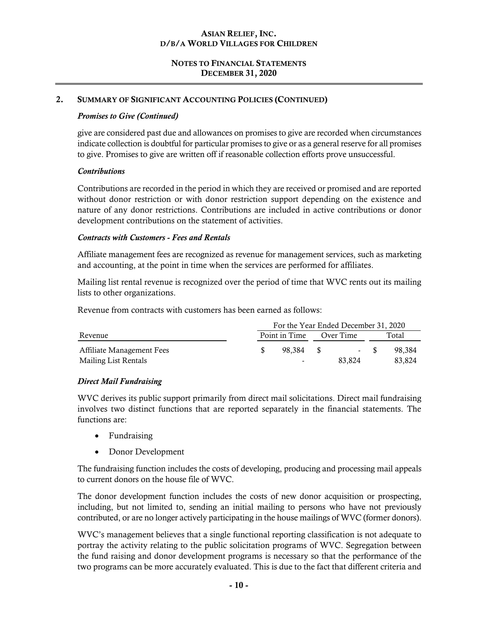# NOTES TO FINANCIAL STATEMENTS DECEMBER 31, 2020

#### 2. SUMMARY OF SIGNIFICANT ACCOUNTING POLICIES (CONTINUED)

#### *Promises to Give (Continued)*

give are considered past due and allowances on promises to give are recorded when circumstances indicate collection is doubtful for particular promises to give or as a general reserve for all promises to give. Promises to give are written off if reasonable collection efforts prove unsuccessful.

## *Contributions*

Contributions are recorded in the period in which they are received or promised and are reported without donor restriction or with donor restriction support depending on the existence and nature of any donor restrictions. Contributions are included in active contributions or donor development contributions on the statement of activities.

## *Contracts with Customers - Fees and Rentals*

Affiliate management fees are recognized as revenue for management services, such as marketing and accounting, at the point in time when the services are performed for affiliates.

Mailing list rental revenue is recognized over the period of time that WVC rents out its mailing lists to other organizations.

Revenue from contracts with customers has been earned as follows:

|                                                   | For the Year Ended December 31, 2020 |                |  |           |        |                  |
|---------------------------------------------------|--------------------------------------|----------------|--|-----------|--------|------------------|
| Revenue                                           |                                      | Point in Time  |  | Over Time |        | Total            |
| Affiliate Management Fees<br>Mailing List Rentals |                                      | 98.384 \$<br>- |  | 83.824    | $-$ \$ | 98.384<br>83.824 |

## *Direct Mail Fundraising*

WVC derives its public support primarily from direct mail solicitations. Direct mail fundraising involves two distinct functions that are reported separately in the financial statements. The functions are:

- Fundraising
- Donor Development

The fundraising function includes the costs of developing, producing and processing mail appeals to current donors on the house file of WVC.

The donor development function includes the costs of new donor acquisition or prospecting, including, but not limited to, sending an initial mailing to persons who have not previously contributed, or are no longer actively participating in the house mailings of WVC (former donors).

WVC's management believes that a single functional reporting classification is not adequate to portray the activity relating to the public solicitation programs of WVC. Segregation between the fund raising and donor development programs is necessary so that the performance of the two programs can be more accurately evaluated. This is due to the fact that different criteria and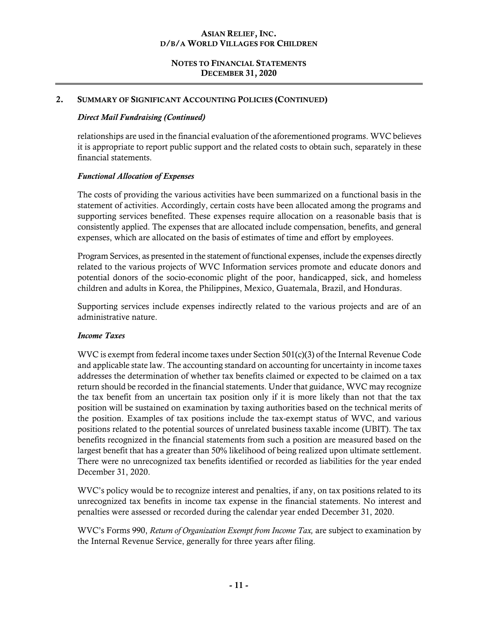# NOTES TO FINANCIAL STATEMENTS DECEMBER 31, 2020

#### 2. SUMMARY OF SIGNIFICANT ACCOUNTING POLICIES (CONTINUED)

#### *Direct Mail Fundraising (Continued)*

relationships are used in the financial evaluation of the aforementioned programs. WVC believes it is appropriate to report public support and the related costs to obtain such, separately in these financial statements.

## *Functional Allocation of Expenses*

The costs of providing the various activities have been summarized on a functional basis in the statement of activities. Accordingly, certain costs have been allocated among the programs and supporting services benefited. These expenses require allocation on a reasonable basis that is consistently applied. The expenses that are allocated include compensation, benefits, and general expenses, which are allocated on the basis of estimates of time and effort by employees.

Program Services, as presented in the statement of functional expenses, include the expenses directly related to the various projects of WVC Information services promote and educate donors and potential donors of the socio-economic plight of the poor, handicapped, sick, and homeless children and adults in Korea, the Philippines, Mexico, Guatemala, Brazil, and Honduras.

Supporting services include expenses indirectly related to the various projects and are of an administrative nature.

## *Income Taxes*

WVC is exempt from federal income taxes under Section  $501(c)(3)$  of the Internal Revenue Code and applicable state law. The accounting standard on accounting for uncertainty in income taxes addresses the determination of whether tax benefits claimed or expected to be claimed on a tax return should be recorded in the financial statements. Under that guidance, WVC may recognize the tax benefit from an uncertain tax position only if it is more likely than not that the tax position will be sustained on examination by taxing authorities based on the technical merits of the position. Examples of tax positions include the tax-exempt status of WVC, and various positions related to the potential sources of unrelated business taxable income (UBIT). The tax benefits recognized in the financial statements from such a position are measured based on the largest benefit that has a greater than 50% likelihood of being realized upon ultimate settlement. There were no unrecognized tax benefits identified or recorded as liabilities for the year ended December 31, 2020.

WVC's policy would be to recognize interest and penalties, if any, on tax positions related to its unrecognized tax benefits in income tax expense in the financial statements. No interest and penalties were assessed or recorded during the calendar year ended December 31, 2020.

WVC's Forms 990, *Return of Organization Exempt from Income Tax,* are subject to examination by the Internal Revenue Service, generally for three years after filing.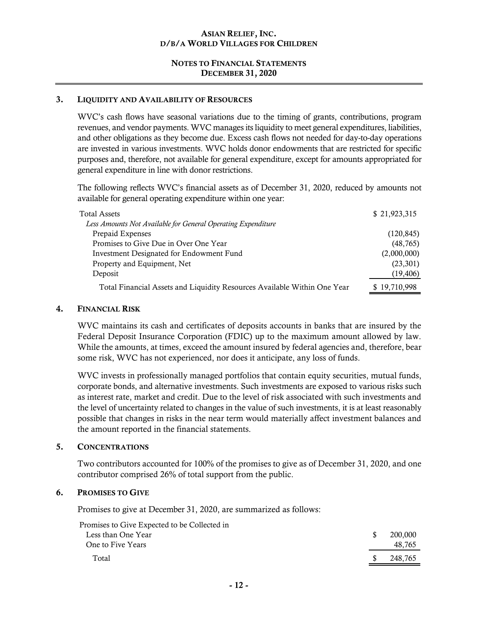# NOTES TO FINANCIAL STATEMENTS DECEMBER 31, 2020

## 3. LIQUIDITY AND AVAILABILITY OF RESOURCES

WVC's cash flows have seasonal variations due to the timing of grants, contributions, program revenues, and vendor payments. WVC manages its liquidity to meet general expenditures, liabilities, and other obligations as they become due. Excess cash flows not needed for day-to-day operations are invested in various investments. WVC holds donor endowments that are restricted for specific purposes and, therefore, not available for general expenditure, except for amounts appropriated for general expenditure in line with donor restrictions.

The following reflects WVC's financial assets as of December 31, 2020, reduced by amounts not available for general operating expenditure within one year:

| Total Assets                                                             | \$21,923,315 |
|--------------------------------------------------------------------------|--------------|
| Less Amounts Not Available for General Operating Expenditure             |              |
| Prepaid Expenses                                                         | (120, 845)   |
| Promises to Give Due in Over One Year                                    | (48, 765)    |
| Investment Designated for Endowment Fund                                 | (2,000,000)  |
| Property and Equipment, Net                                              | (23,301)     |
| Deposit                                                                  | (19, 406)    |
| Total Financial Assets and Liquidity Resources Available Within One Year | \$19,710,998 |

#### 4. FINANCIAL RISK

WVC maintains its cash and certificates of deposits accounts in banks that are insured by the Federal Deposit Insurance Corporation (FDIC) up to the maximum amount allowed by law. While the amounts, at times, exceed the amount insured by federal agencies and, therefore, bear some risk, WVC has not experienced, nor does it anticipate, any loss of funds.

WVC invests in professionally managed portfolios that contain equity securities, mutual funds, corporate bonds, and alternative investments. Such investments are exposed to various risks such as interest rate, market and credit. Due to the level of risk associated with such investments and the level of uncertainty related to changes in the value of such investments, it is at least reasonably possible that changes in risks in the near term would materially affect investment balances and the amount reported in the financial statements.

#### 5. CONCENTRATIONS

Two contributors accounted for 100% of the promises to give as of December 31, 2020, and one contributor comprised 26% of total support from the public.

#### 6. PROMISES TO GIVE

Promises to give at December 31, 2020, are summarized as follows:

| Promises to Give Expected to be Collected in |     |         |
|----------------------------------------------|-----|---------|
| Less than One Year                           |     | 200.000 |
| One to Five Years                            |     | 48.765  |
| Total                                        | -SF | 248.765 |
|                                              |     |         |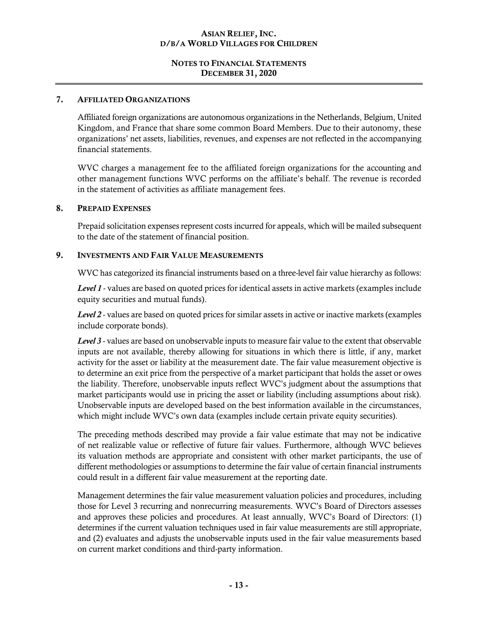# NOTES TO FINANCIAL STATEMENTS DECEMBER 31, 2020

#### 7. AFFILIATED ORGANIZATIONS

Affiliated foreign organizations are autonomous organizations in the Netherlands, Belgium, United Kingdom, and France that share some common Board Members. Due to their autonomy, these organizations' net assets, liabilities, revenues, and expenses are not reflected in the accompanying financial statements.

WVC charges a management fee to the affiliated foreign organizations for the accounting and other management functions WVC performs on the affiliate's behalf. The revenue is recorded in the statement of activities as affiliate management fees.

## 8. PREPAID EXPENSES

Prepaid solicitation expenses represent costs incurred for appeals, which will be mailed subsequent to the date of the statement of financial position.

## 9. INVESTMENTS AND FAIR VALUE MEASUREMENTS

WVC has categorized its financial instruments based on a three-level fair value hierarchy as follows:

*Level 1* - values are based on quoted prices for identical assets in active markets (examples include equity securities and mutual funds).

*Level 2* - values are based on quoted prices for similar assets in active or inactive markets (examples include corporate bonds).

*Level 3* - values are based on unobservable inputs to measure fair value to the extent that observable inputs are not available, thereby allowing for situations in which there is little, if any, market activity for the asset or liability at the measurement date. The fair value measurement objective is to determine an exit price from the perspective of a market participant that holds the asset or owes the liability. Therefore, unobservable inputs reflect WVC's judgment about the assumptions that market participants would use in pricing the asset or liability (including assumptions about risk). Unobservable inputs are developed based on the best information available in the circumstances, which might include WVC's own data (examples include certain private equity securities).

The preceding methods described may provide a fair value estimate that may not be indicative of net realizable value or reflective of future fair values. Furthermore, although WVC believes its valuation methods are appropriate and consistent with other market participants, the use of different methodologies or assumptions to determine the fair value of certain financial instruments could result in a different fair value measurement at the reporting date.

Management determines the fair value measurement valuation policies and procedures, including those for Level 3 recurring and nonrecurring measurements. WVC's Board of Directors assesses and approves these policies and procedures. At least annually, WVC's Board of Directors: (1) determines if the current valuation techniques used in fair value measurements are still appropriate, and (2) evaluates and adjusts the unobservable inputs used in the fair value measurements based on current market conditions and third-party information.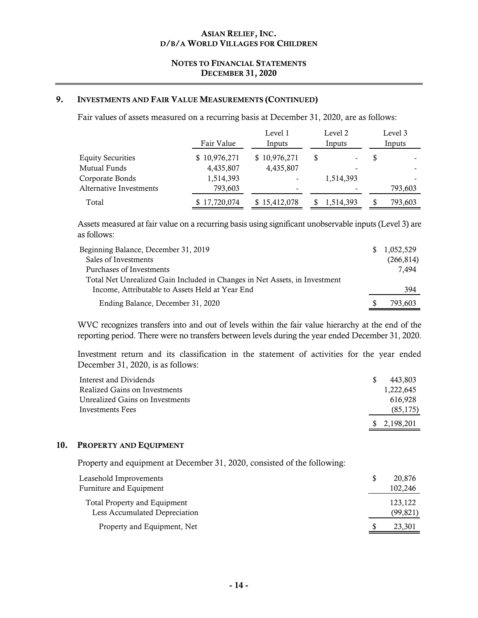# NOTES TO FINANCIAL STATEMENTS DECEMBER 31, 2020

#### 9. INVESTMENTS AND FAIR VALUE MEASUREMENTS (CONTINUED)

Fair values of assets measured on a recurring basis at December 31, 2020, are as follows:

|                          | Fair Value   | Level 1<br>Inputs        | Level 2<br>Inputs              | Level 3<br>Inputs |
|--------------------------|--------------|--------------------------|--------------------------------|-------------------|
| <b>Equity Securities</b> | \$10,976,271 | \$10,976,271             | \$<br>$\overline{\phantom{a}}$ | S                 |
| Mutual Funds             | 4,435,807    | 4,435,807                | ٠                              |                   |
| Corporate Bonds          | 1,514,393    |                          | 1,514,393                      |                   |
| Alternative Investments  | 793,603      | $\overline{\phantom{0}}$ |                                | 793,603           |
| Total                    | \$17,720,074 | \$15,412,078             | 1,514,393                      | 793,603           |

Assets measured at fair value on a recurring basis using significant unobservable inputs (Level 3) are as follows:

| Beginning Balance, December 31, 2019                                       | 1,052,529  |
|----------------------------------------------------------------------------|------------|
| Sales of Investments                                                       | (266, 814) |
| Purchases of Investments                                                   | 7.494      |
| Total Net Unrealized Gain Included in Changes in Net Assets, in Investment |            |
| Income, Attributable to Assets Held at Year End                            | 394        |
| Ending Balance, December 31, 2020                                          | 793.603    |

WVC recognizes transfers into and out of levels within the fair value hierarchy at the end of the reporting period. There were no transfers between levels during the year ended December 31, 2020.

Investment return and its classification in the statement of activities for the year ended December 31, 2020, is as follows:

| Interest and Dividends          | 443.803     |
|---------------------------------|-------------|
| Realized Gains on Investments   | 1.222.645   |
| Unrealized Gains on Investments | 616.928     |
| Investments Fees                | (85, 175)   |
|                                 | \$2,198,201 |

#### 10. PROPERTY AND EQUIPMENT

Property and equipment at December 31, 2020, consisted of the following:

| Leasehold Improvements                                        | 20.876               |
|---------------------------------------------------------------|----------------------|
| Furniture and Equipment                                       | 102,246              |
| Total Property and Equipment<br>Less Accumulated Depreciation | 123,122<br>(99, 821) |
| Property and Equipment, Net                                   | 23,301               |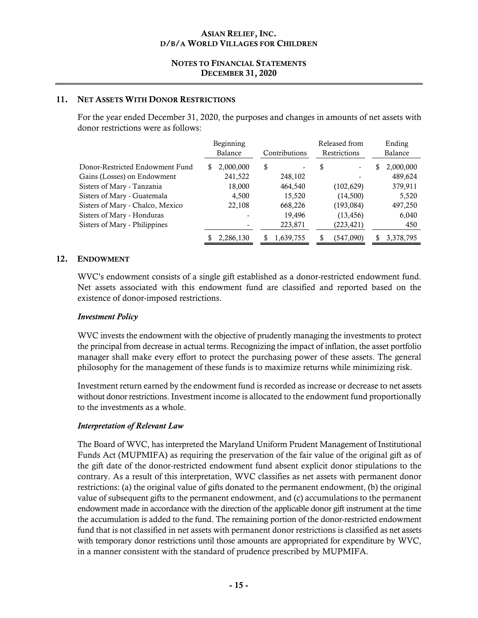# NOTES TO FINANCIAL STATEMENTS DECEMBER 31, 2020

#### 11. NET ASSETS WITH DONOR RESTRICTIONS

For the year ended December 31, 2020, the purposes and changes in amounts of net assets with donor restrictions were as follows:

|                                  | Beginning<br>Balance |           | Contributions |           | Released from<br>Restrictions |            | Ending<br>Balance |           |
|----------------------------------|----------------------|-----------|---------------|-----------|-------------------------------|------------|-------------------|-----------|
| Donor-Restricted Endowment Fund  | \$                   | 2,000,000 | \$            |           | \$                            | -          | S                 | 2,000,000 |
| Gains (Losses) on Endowment      |                      | 241,522   |               | 248,102   |                               |            |                   | 489,624   |
| Sisters of Mary - Tanzania       |                      | 18,000    |               | 464,540   |                               | (102, 629) |                   | 379,911   |
| Sisters of Mary - Guatemala      |                      | 4.500     |               | 15,520    |                               | (14,500)   |                   | 5,520     |
| Sisters of Mary - Chalco, Mexico |                      | 22,108    |               | 668,226   |                               | (193, 084) |                   | 497,250   |
| Sisters of Mary - Honduras       |                      | -         |               | 19.496    |                               | (13, 456)  |                   | 6,040     |
| Sisters of Mary - Philippines    |                      |           |               | 223,871   |                               | (223, 421) |                   | 450       |
|                                  |                      | 2,286,130 |               | 1,639,755 |                               | (547,090)  |                   | 3,378,795 |

## 12. ENDOWMENT

WVC's endowment consists of a single gift established as a donor-restricted endowment fund. Net assets associated with this endowment fund are classified and reported based on the existence of donor-imposed restrictions.

## *Investment Policy*

WVC invests the endowment with the objective of prudently managing the investments to protect the principal from decrease in actual terms. Recognizing the impact of inflation, the asset portfolio manager shall make every effort to protect the purchasing power of these assets. The general philosophy for the management of these funds is to maximize returns while minimizing risk.

Investment return earned by the endowment fund is recorded as increase or decrease to net assets without donor restrictions. Investment income is allocated to the endowment fund proportionally to the investments as a whole.

## *Interpretation of Relevant Law*

The Board of WVC, has interpreted the Maryland Uniform Prudent Management of Institutional Funds Act (MUPMIFA) as requiring the preservation of the fair value of the original gift as of the gift date of the donor-restricted endowment fund absent explicit donor stipulations to the contrary. As a result of this interpretation, WVC classifies as net assets with permanent donor restrictions: (a) the original value of gifts donated to the permanent endowment, (b) the original value of subsequent gifts to the permanent endowment, and (c) accumulations to the permanent endowment made in accordance with the direction of the applicable donor gift instrument at the time the accumulation is added to the fund. The remaining portion of the donor-restricted endowment fund that is not classified in net assets with permanent donor restrictions is classified as net assets with temporary donor restrictions until those amounts are appropriated for expenditure by WVC, in a manner consistent with the standard of prudence prescribed by MUPMIFA.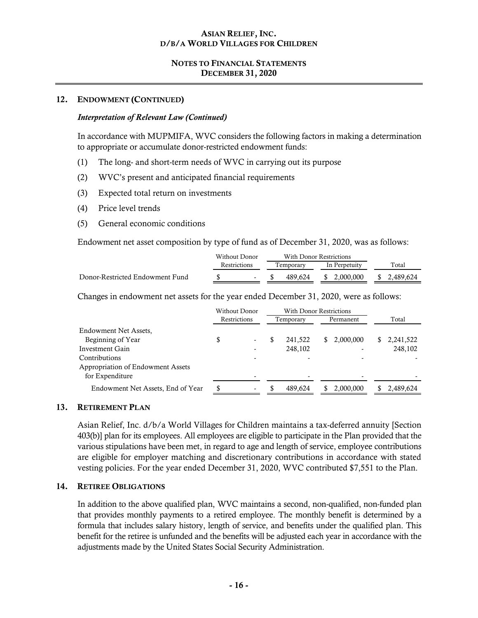# NOTES TO FINANCIAL STATEMENTS DECEMBER 31, 2020

#### 12. ENDOWMENT (CONTINUED)

#### *Interpretation of Relevant Law (Continued)*

In accordance with MUPMIFA, WVC considers the following factors in making a determination to appropriate or accumulate donor-restricted endowment funds:

- (1) The long- and short-term needs of WVC in carrying out its purpose
- (2) WVC's present and anticipated financial requirements
- (3) Expected total return on investments
- (4) Price level trends
- (5) General economic conditions

Endowment net asset composition by type of fund as of December 31, 2020, was as follows:

|                                 | Without Donor         | With Donor Restrictions |               |              |
|---------------------------------|-----------------------|-------------------------|---------------|--------------|
|                                 | <b>Restrictions</b>   | Temporary               | In Perpetuity | Total        |
| Donor-Restricted Endowment Fund | $\tilde{\phantom{a}}$ | 489.624                 | \$2,000,000   | \$ 2.489,624 |

Changes in endowment net assets for the year ended December 31, 2020, were as follows:

|                                   | Without Donor |                       | <b>With Donor Restrictions</b> |           |    |           |           |
|-----------------------------------|---------------|-----------------------|--------------------------------|-----------|----|-----------|-----------|
|                                   |               | Restrictions          |                                | Temporary |    | Permanent | Total     |
| Endowment Net Assets,             |               |                       |                                |           |    |           |           |
| Beginning of Year                 | \$            | -                     | \$                             | 241,522   | S. | 2,000,000 | 2,241,522 |
| Investment Gain                   |               | $\tilde{\phantom{a}}$ |                                | 248,102   |    |           | 248,102   |
| Contributions                     |               | $\overline{a}$        |                                |           |    |           |           |
| Appropriation of Endowment Assets |               |                       |                                |           |    |           |           |
| for Expenditure                   |               | -                     |                                |           |    |           |           |
| Endowment Net Assets, End of Year |               | ۰                     |                                | 489.624   |    | 2,000,000 | 2,489,624 |

## 13. RETIREMENT PLAN

Asian Relief, Inc. d/b/a World Villages for Children maintains a tax-deferred annuity [Section 403(b)] plan for its employees. All employees are eligible to participate in the Plan provided that the various stipulations have been met, in regard to age and length of service, employee contributions are eligible for employer matching and discretionary contributions in accordance with stated vesting policies. For the year ended December 31, 2020, WVC contributed \$7,551 to the Plan.

## 14. RETIREE OBLIGATIONS

In addition to the above qualified plan, WVC maintains a second, non-qualified, non-funded plan that provides monthly payments to a retired employee. The monthly benefit is determined by a formula that includes salary history, length of service, and benefits under the qualified plan. This benefit for the retiree is unfunded and the benefits will be adjusted each year in accordance with the adjustments made by the United States Social Security Administration.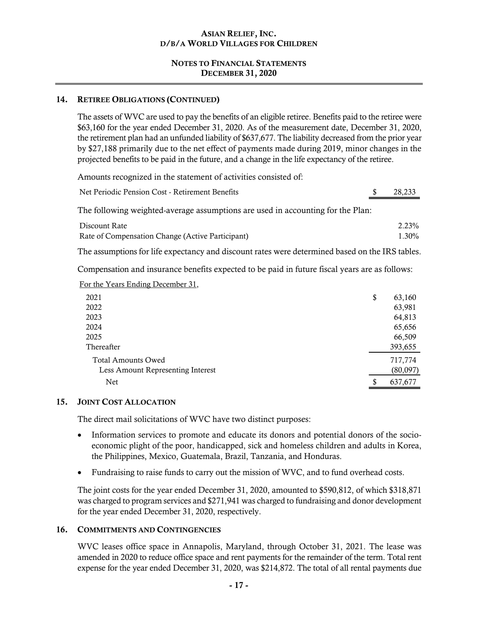# NOTES TO FINANCIAL STATEMENTS DECEMBER 31, 2020

#### 14. RETIREE OBLIGATIONS (CONTINUED)

The assets of WVC are used to pay the benefits of an eligible retiree. Benefits paid to the retiree were \$63,160 for the year ended December 31, 2020. As of the measurement date, December 31, 2020, the retirement plan had an unfunded liability of \$637,677. The liability decreased from the prior year by \$27,188 primarily due to the net effect of payments made during 2019, minor changes in the projected benefits to be paid in the future, and a change in the life expectancy of the retiree.

Amounts recognized in the statement of activities consisted of:

| Net Periodic Pension Cost - Retirement Benefits                                 | 28.233   |
|---------------------------------------------------------------------------------|----------|
| The following weighted-average assumptions are used in accounting for the Plan: |          |
| Discount Rate                                                                   | $2.23\%$ |
| Rate of Compensation Change (Active Participant)                                | $1.30\%$ |

The assumptions for life expectancy and discount rates were determined based on the IRS tables.

Compensation and insurance benefits expected to be paid in future fiscal years are as follows:

#### For the Years Ending December 31,

| 2021                              | \$<br>63,160  |
|-----------------------------------|---------------|
| 2022                              | 63,981        |
| 2023                              | 64,813        |
| 2024                              | 65,656        |
| 2025                              | 66,509        |
| Thereafter                        | 393,655       |
| <b>Total Amounts Owed</b>         | 717,774       |
| Less Amount Representing Interest | (80,097)      |
| Net                               | \$<br>637,677 |
|                                   |               |

#### 15. JOINT COST ALLOCATION

The direct mail solicitations of WVC have two distinct purposes:

- Information services to promote and educate its donors and potential donors of the socioeconomic plight of the poor, handicapped, sick and homeless children and adults in Korea, the Philippines, Mexico, Guatemala, Brazil, Tanzania, and Honduras.
- Fundraising to raise funds to carry out the mission of WVC, and to fund overhead costs.

The joint costs for the year ended December 31, 2020, amounted to \$590,812, of which \$318,871 was charged to program services and \$271,941 was charged to fundraising and donor development for the year ended December 31, 2020, respectively.

#### 16. COMMITMENTS AND CONTINGENCIES

WVC leases office space in Annapolis, Maryland, through October 31, 2021. The lease was amended in 2020 to reduce office space and rent payments for the remainder of the term. Total rent expense for the year ended December 31, 2020, was \$214,872. The total of all rental payments due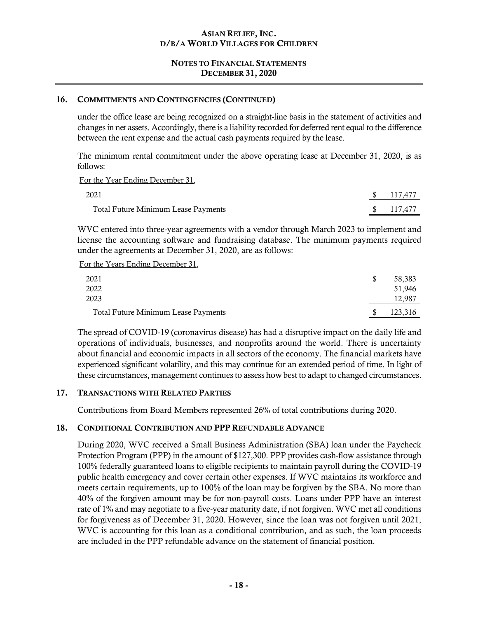## NOTES TO FINANCIAL STATEMENTS DECEMBER 31, 2020

## 16. COMMITMENTS AND CONTINGENCIES (CONTINUED)

under the office lease are being recognized on a straight-line basis in the statement of activities and changes in net assets. Accordingly, there is a liability recorded for deferred rent equal to the difference between the rent expense and the actual cash payments required by the lease.

The minimum rental commitment under the above operating lease at December 31, 2020, is as follows:

For the Year Ending December 31,

| 2021                                | \$ 117.477 |
|-------------------------------------|------------|
| Total Future Minimum Lease Payments | \$ 117.477 |

WVC entered into three-year agreements with a vendor through March 2023 to implement and license the accounting software and fundraising database. The minimum payments required under the agreements at December 31, 2020, are as follows:

For the Years Ending December 31,

| 2021                                | S | 58,383           |
|-------------------------------------|---|------------------|
| 2022<br>2023                        |   | 51.946<br>12,987 |
|                                     |   |                  |
| Total Future Minimum Lease Payments | S | 123,316          |

The spread of COVID-19 (coronavirus disease) has had a disruptive impact on the daily life and operations of individuals, businesses, and nonprofits around the world. There is uncertainty about financial and economic impacts in all sectors of the economy. The financial markets have experienced significant volatility, and this may continue for an extended period of time. In light of these circumstances, management continues to assess how best to adapt to changed circumstances.

## 17. TRANSACTIONS WITH RELATED PARTIES

Contributions from Board Members represented 26% of total contributions during 2020.

#### 18. CONDITIONAL CONTRIBUTION AND PPP REFUNDABLE ADVANCE

During 2020, WVC received a Small Business Administration (SBA) loan under the Paycheck Protection Program (PPP) in the amount of \$127,300. PPP provides cash-flow assistance through 100% federally guaranteed loans to eligible recipients to maintain payroll during the COVID-19 public health emergency and cover certain other expenses. If WVC maintains its workforce and meets certain requirements, up to 100% of the loan may be forgiven by the SBA. No more than 40% of the forgiven amount may be for non-payroll costs. Loans under PPP have an interest rate of 1% and may negotiate to a five-year maturity date, if not forgiven. WVC met all conditions for forgiveness as of December 31, 2020. However, since the loan was not forgiven until 2021, WVC is accounting for this loan as a conditional contribution, and as such, the loan proceeds are included in the PPP refundable advance on the statement of financial position.